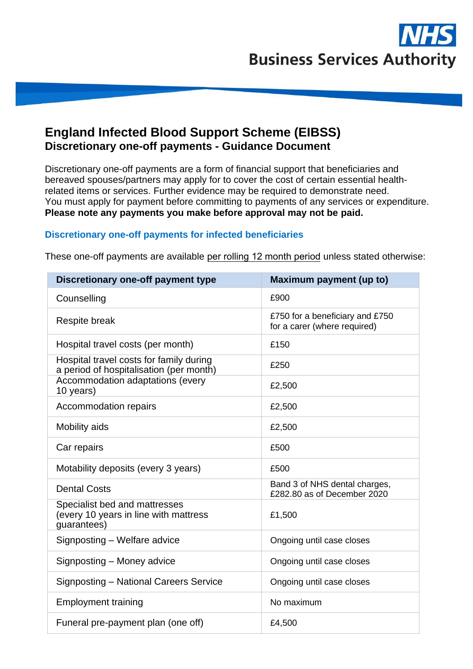

## **England Infected Blood Support Scheme (EIBSS) Discretionary one-off payments - Guidance Document**

Discretionary one-off payments are a form of financial support that beneficiaries and bereaved spouses/partners may apply for to cover the cost of certain essential healthrelated items or services. Further evidence may be required to demonstrate need. You must apply for payment before committing to payments of any services or expenditure. **Please note any payments you make before approval may not be paid.** 

## **Discretionary one-off payments for infected beneficiaries**

| <b>Discretionary one-off payment type</b>                                             | Maximum payment (up to)                                         |
|---------------------------------------------------------------------------------------|-----------------------------------------------------------------|
| Counselling                                                                           | £900                                                            |
| Respite break                                                                         | £750 for a beneficiary and £750<br>for a carer (where required) |
| Hospital travel costs (per month)                                                     | £150                                                            |
| Hospital travel costs for family during<br>a period of hospitalisation (per month)    | £250                                                            |
| Accommodation adaptations (every<br>10 years)                                         | £2,500                                                          |
| Accommodation repairs                                                                 | £2,500                                                          |
| Mobility aids                                                                         | £2,500                                                          |
| Car repairs                                                                           | £500                                                            |
| Motability deposits (every 3 years)                                                   | £500                                                            |
| <b>Dental Costs</b>                                                                   | Band 3 of NHS dental charges,<br>£282.80 as of December 2020    |
| Specialist bed and mattresses<br>(every 10 years in line with mattress<br>guarantees) | £1,500                                                          |
| Signposting - Welfare advice                                                          | Ongoing until case closes                                       |
| Signposting - Money advice                                                            | Ongoing until case closes                                       |
| Signposting - National Careers Service                                                | Ongoing until case closes                                       |
| <b>Employment training</b>                                                            | No maximum                                                      |
| Funeral pre-payment plan (one off)                                                    | £4,500                                                          |

These one-off payments are available per rolling 12 month period unless stated otherwise: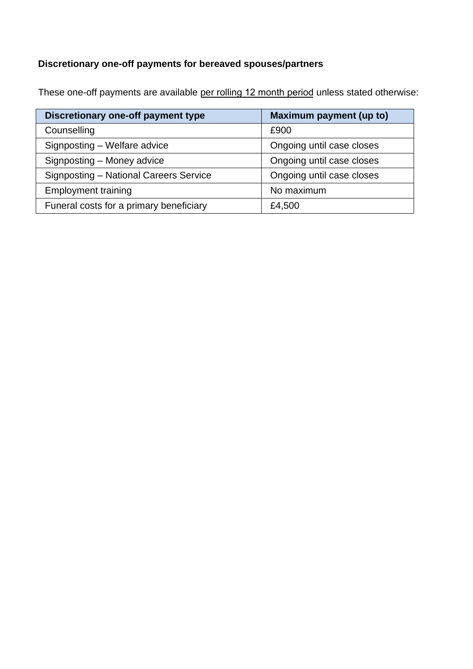# **Discretionary one-off payments for bereaved spouses/partners**

These one-off payments are available per rolling 12 month period unless stated otherwise:

| Discretionary one-off payment type      | Maximum payment (up to)   |  |
|-----------------------------------------|---------------------------|--|
| Counselling                             | £900                      |  |
| Signposting - Welfare advice            | Ongoing until case closes |  |
| Signposting - Money advice              | Ongoing until case closes |  |
| Signposting - National Careers Service  | Ongoing until case closes |  |
| <b>Employment training</b>              | No maximum                |  |
| Funeral costs for a primary beneficiary | £4,500                    |  |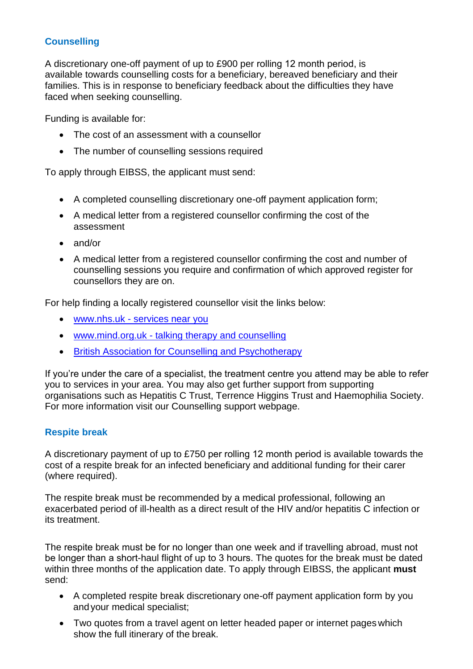## **Counselling**

A discretionary one-off payment of up to £900 per rolling 12 month period, is available towards counselling costs for a beneficiary, bereaved beneficiary and their families. This is in response to beneficiary feedback about the difficulties they have faced when seeking counselling.

Funding is available for:

- The cost of an assessment with a counsellor
- The number of counselling sessions required

To apply through EIBSS, the applicant must send:

- A completed counselling discretionary one-off payment application form;
- A medical letter from a registered counsellor confirming the cost of the assessment
- and/or
- A medical letter from a registered counsellor confirming the cost and number of counselling sessions you require and confirmation of which approved register for counsellors they are on.

For help finding a locally registered counsellor visit the links below:

- [www.nhs.uk -](https://www.nhs.uk/service-search/find-a-psychological-therapies-service/) services near you
- www.mind.org.uk [talking therapy and](https://www.mind.org.uk/information-support/drugs-and-treatments/talking-therapy-and-counselling/how-to-find-a-therapist/) counselling
- [British Association for Counselling and](https://www.bacp.co.uk/search/Register/) Psychotherapy

If you're under the care of a specialist, the treatment centre you attend may be able to refer you to services in your area. You may also get further support from supporting organisations such as Hepatitis C Trust, Terrence Higgins Trust and Haemophilia Society. For more information visit our Counselling support webpage.

## **Respite break**

A discretionary payment of up to £750 per rolling 12 month period is available towards the cost of a respite break for an infected beneficiary and additional funding for their carer (where required).

The respite break must be recommended by a medical professional, following an exacerbated period of ill-health as a direct result of the HIV and/or hepatitis C infection or its treatment.

The respite break must be for no longer than one week and if travelling abroad, must not be longer than a short-haul flight of up to 3 hours. The quotes for the break must be dated within three months of the application date. To apply through EIBSS, the applicant **must**  send:

- A completed respite break discretionary one-off payment application form by you andyour medical specialist;
- Two quotes from a travel agent on letter headed paper or internet pages which show the full itinerary of the break.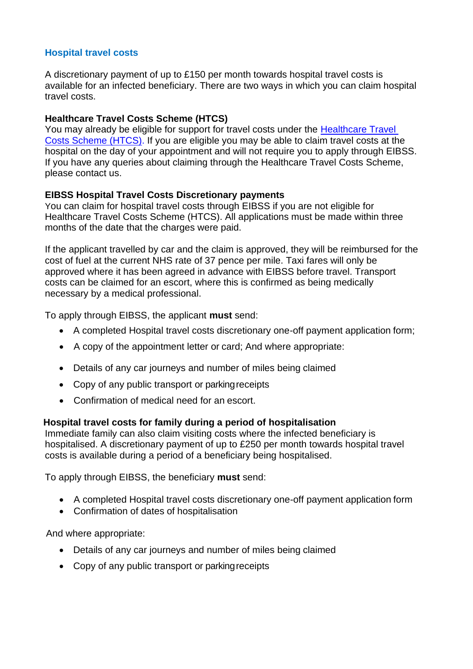## **Hospital travel costs**

A discretionary payment of up to £150 per month towards hospital travel costs is available for an infected beneficiary. There are two ways in which you can claim hospital travel costs.

## **Healthcare Travel Costs Scheme (HTCS)**

You may already be eligible for support for travel costs under the [Healthcare Travel](http://www.nhs.uk/using-the-nhs/help-with-health-costs/healthcare-travel-costs-scheme-htcs/)  [Costs Scheme \(HTCS\).](http://www.nhs.uk/using-the-nhs/help-with-health-costs/healthcare-travel-costs-scheme-htcs/) If you are eligible you may be able to claim travel costs at the hospital on the day of your appointment and will not require you to apply through EIBSS. If you have any queries about claiming through the Healthcare Travel Costs Scheme, please contact us.

## **EIBSS Hospital Travel Costs Discretionary payments**

You can claim for hospital travel costs through EIBSS if you are not eligible for Healthcare Travel Costs Scheme (HTCS). All applications must be made within three months of the date that the charges were paid.

If the applicant travelled by car and the claim is approved, they will be reimbursed for the cost of fuel at the current NHS rate of 37 pence per mile. Taxi fares will only be approved where it has been agreed in advance with EIBSS before travel. Transport costs can be claimed for an escort, where this is confirmed as being medically necessary by a medical professional.

To apply through EIBSS, the applicant **must** send:

- A completed Hospital travel costs discretionary one-off payment application form;
- A copy of the appointment letter or card; And where appropriate:
- Details of any car journeys and number of miles being claimed
- Copy of any public transport or parking receipts
- Confirmation of medical need for an escort.

## **Hospital travel costs for family during a period of hospitalisation**

Immediate family can also claim visiting costs where the infected beneficiary is hospitalised. A discretionary payment of up to £250 per month towards hospital travel costs is available during a period of a beneficiary being hospitalised.

To apply through EIBSS, the beneficiary **must** send:

- A completed Hospital travel costs discretionary one-off payment application form
- Confirmation of dates of hospitalisation

And where appropriate:

- Details of any car journeys and number of miles being claimed
- Copy of any public transport or parking receipts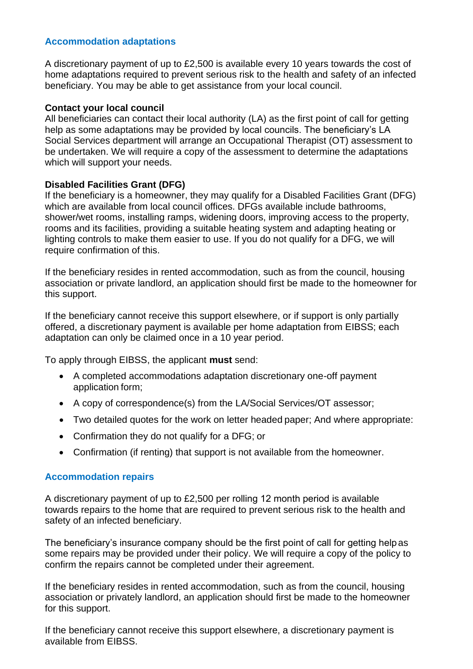## **Accommodation adaptations**

A discretionary payment of up to £2,500 is available every 10 years towards the cost of home adaptations required to prevent serious risk to the health and safety of an infected beneficiary. You may be able to get assistance from your local council.

#### **Contact your local council**

All beneficiaries can contact their local authority (LA) as the first point of call for getting help as some adaptations may be provided by local councils. The beneficiary's LA Social Services department will arrange an Occupational Therapist (OT) assessment to be undertaken. We will require a copy of the assessment to determine the adaptations which will support your needs.

#### **Disabled Facilities Grant (DFG)**

If the beneficiary is a homeowner, they may qualify for a Disabled Facilities Grant (DFG) which are available from local council offices. DFGs available include bathrooms, shower/wet rooms, installing ramps, widening doors, improving access to the property, rooms and its facilities, providing a suitable heating system and adapting heating or lighting controls to make them easier to use. If you do not qualify for a DFG, we will require confirmation of this.

If the beneficiary resides in rented accommodation, such as from the council, housing association or private landlord, an application should first be made to the homeowner for this support.

If the beneficiary cannot receive this support elsewhere, or if support is only partially offered, a discretionary payment is available per home adaptation from EIBSS; each adaptation can only be claimed once in a 10 year period.

To apply through EIBSS, the applicant **must** send:

- A completed accommodations adaptation discretionary one-off payment application form;
- A copy of correspondence(s) from the LA/Social Services/OT assessor;
- Two detailed quotes for the work on letter headed paper; And where appropriate:
- Confirmation they do not qualify for a DFG; or
- Confirmation (if renting) that support is not available from the homeowner.

#### **Accommodation repairs**

A discretionary payment of up to £2,500 per rolling 12 month period is available towards repairs to the home that are required to prevent serious risk to the health and safety of an infected beneficiary.

The beneficiary's insurance company should be the first point of call for getting help as some repairs may be provided under their policy. We will require a copy of the policy to confirm the repairs cannot be completed under their agreement.

If the beneficiary resides in rented accommodation, such as from the council, housing association or privately landlord, an application should first be made to the homeowner for this support.

If the beneficiary cannot receive this support elsewhere, a discretionary payment is available from EIBSS.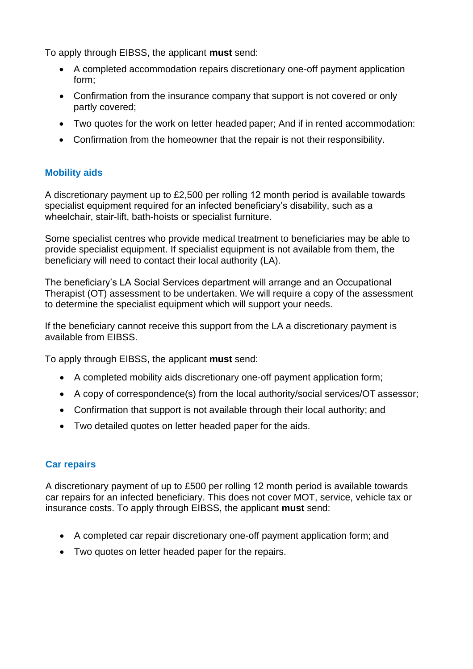To apply through EIBSS, the applicant **must** send:

- A completed accommodation repairs discretionary one-off payment application form;
- Confirmation from the insurance company that support is not covered or only partly covered;
- Two quotes for the work on letter headed paper; And if in rented accommodation:
- Confirmation from the homeowner that the repair is not their responsibility.

## **Mobility aids**

A discretionary payment up to £2,500 per rolling 12 month period is available towards specialist equipment required for an infected beneficiary's disability, such as a wheelchair, stair-lift, bath-hoists or specialist furniture.

Some specialist centres who provide medical treatment to beneficiaries may be able to provide specialist equipment. If specialist equipment is not available from them, the beneficiary will need to contact their local authority (LA).

The beneficiary's LA Social Services department will arrange and an Occupational Therapist (OT) assessment to be undertaken. We will require a copy of the assessment to determine the specialist equipment which will support your needs.

If the beneficiary cannot receive this support from the LA a discretionary payment is available from EIBSS.

To apply through EIBSS, the applicant **must** send:

- A completed mobility aids discretionary one-off payment application form;
- A copy of correspondence(s) from the local authority/social services/OT assessor;
- Confirmation that support is not available through their local authority; and
- Two detailed quotes on letter headed paper for the aids.

## **Car repairs**

A discretionary payment of up to £500 per rolling 12 month period is available towards car repairs for an infected beneficiary. This does not cover MOT, service, vehicle tax or insurance costs. To apply through EIBSS, the applicant **must** send:

- A completed car repair discretionary one-off payment application form; and
- Two quotes on letter headed paper for the repairs.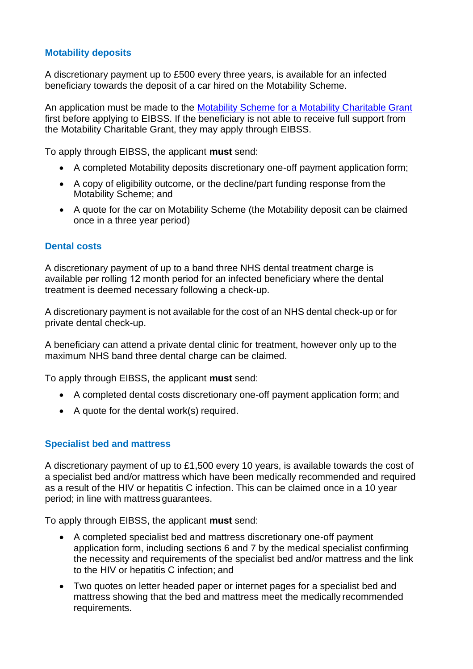## **Motability deposits**

A discretionary payment up to £500 every three years, is available for an infected beneficiary towards the deposit of a car hired on the Motability Scheme.

An application must be made to the [Motability Scheme for a Motability Charitable Grant](https://www.motability.org.uk/grants/) first before applying to EIBSS. If the beneficiary is not able to receive full support from the Motability Charitable Grant, they may apply through EIBSS.

To apply through EIBSS, the applicant **must** send:

- A completed Motability deposits discretionary one-off payment application form;
- A copy of eligibility outcome, or the decline/part funding response from the Motability Scheme; and
- A quote for the car on Motability Scheme (the Motability deposit can be claimed once in a three year period)

## **Dental costs**

A discretionary payment of up to a band three NHS dental treatment charge is available per rolling 12 month period for an infected beneficiary where the dental treatment is deemed necessary following a check-up.

A discretionary payment is not available for the cost of an NHS dental check-up or for private dental check-up.

A beneficiary can attend a private dental clinic for treatment, however only up to the maximum NHS band three dental charge can be claimed.

To apply through EIBSS, the applicant **must** send:

- A completed dental costs discretionary one-off payment application form; and
- A quote for the dental work(s) required.

#### **Specialist bed and mattress**

A discretionary payment of up to £1,500 every 10 years, is available towards the cost of a specialist bed and/or mattress which have been medically recommended and required as a result of the HIV or hepatitis C infection. This can be claimed once in a 10 year period; in line with mattress guarantees.

To apply through EIBSS, the applicant **must** send:

- A completed specialist bed and mattress discretionary one-off payment application form, including sections 6 and 7 by the medical specialist confirming the necessity and requirements of the specialist bed and/or mattress and the link to the HIV or hepatitis C infection; and
- Two quotes on letter headed paper or internet pages for a specialist bed and mattress showing that the bed and mattress meet the medically recommended requirements.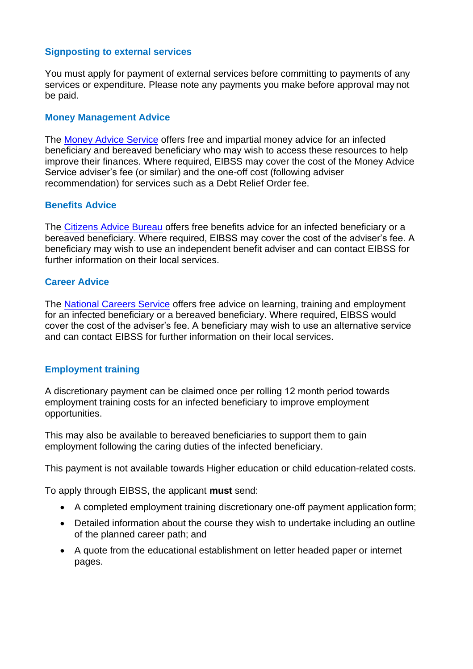## **Signposting to external services**

You must apply for payment of external services before committing to payments of any services or expenditure. Please note any payments you make before approval may not be paid.

## **Money Management Advice**

The [Money Advice Service](https://www.moneyadviceservice.org.uk/en) offers free and impartial money advice for an infected beneficiary and bereaved beneficiary who may wish to access these resources to help improve their finances. Where required, EIBSS may cover the cost of the Money Advice Service adviser's fee (or similar) and the one-off cost (following adviser recommendation) for services such as a Debt Relief Order fee.

## **Benefits Advice**

The [Citizens Advice Bureau](https://www.citizensadvice.org.uk/) offers free benefits advice for an infected beneficiary or a bereaved beneficiary. Where required, EIBSS may cover the cost of the adviser's fee. A beneficiary may wish to use an independent benefit adviser and can contact EIBSS for further information on their local services.

#### **Career Advice**

The [National Careers Service](https://nationalcareers.service.gov.uk/) offers free advice on learning, training and employment for an infected beneficiary or a bereaved beneficiary. Where required, EIBSS would cover the cost of the adviser's fee. A beneficiary may wish to use an alternative service and can contact EIBSS for further information on their local services.

## **Employment training**

A discretionary payment can be claimed once per rolling 12 month period towards employment training costs for an infected beneficiary to improve employment opportunities.

This may also be available to bereaved beneficiaries to support them to gain employment following the caring duties of the infected beneficiary.

This payment is not available towards Higher education or child education-related costs.

To apply through EIBSS, the applicant **must** send:

- A completed employment training discretionary one-off payment application form;
- Detailed information about the course they wish to undertake including an outline of the planned career path; and
- A quote from the educational establishment on letter headed paper or internet pages.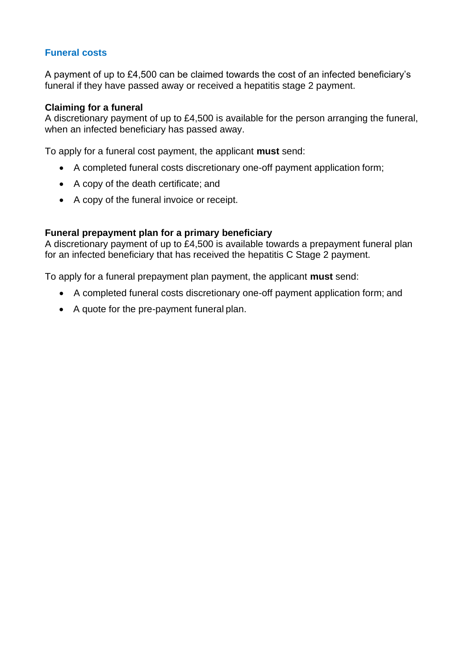## **Funeral costs**

A payment of up to £4,500 can be claimed towards the cost of an infected beneficiary's funeral if they have passed away or received a hepatitis stage 2 payment.

#### **Claiming for a funeral**

A discretionary payment of up to £4,500 is available for the person arranging the funeral, when an infected beneficiary has passed away.

To apply for a funeral cost payment, the applicant **must** send:

- A completed funeral costs discretionary one-off payment application form;
- A copy of the death certificate; and
- A copy of the funeral invoice or receipt.

#### **Funeral prepayment plan for a primary beneficiary**

A discretionary payment of up to £4,500 is available towards a prepayment funeral plan for an infected beneficiary that has received the hepatitis C Stage 2 payment.

To apply for a funeral prepayment plan payment, the applicant **must** send:

- A completed funeral costs discretionary one-off payment application form; and
- A quote for the pre-payment funeral plan.